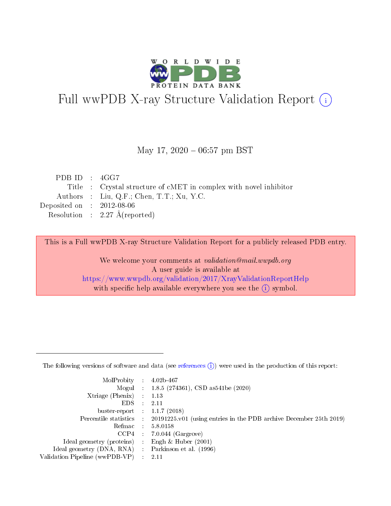

# Full wwPDB X-ray Structure Validation Report (i)

#### May 17,  $2020 - 06:57$  pm BST

| PDBID : 4GG7                |                                                                   |
|-----------------------------|-------------------------------------------------------------------|
|                             | Title : Crystal structure of cMET in complex with novel inhibitor |
|                             | Authors : Liu, Q.F.; Chen, T.T.; Xu, Y.C.                         |
| Deposited on : $2012-08-06$ |                                                                   |
|                             | Resolution : $2.27 \text{ Å}$ (reported)                          |
|                             |                                                                   |

This is a Full wwPDB X-ray Structure Validation Report for a publicly released PDB entry.

We welcome your comments at validation@mail.wwpdb.org A user guide is available at <https://www.wwpdb.org/validation/2017/XrayValidationReportHelp> with specific help available everywhere you see the  $(i)$  symbol.

The following versions of software and data (see [references](https://www.wwpdb.org/validation/2017/XrayValidationReportHelp#references)  $(1)$ ) were used in the production of this report:

| $MolProbability$ 4.02b-467                          |               |                                                                                            |
|-----------------------------------------------------|---------------|--------------------------------------------------------------------------------------------|
|                                                     |               | Mogul : 1.8.5 (274361), CSD as 541be (2020)                                                |
| $Xtriangle (Phenix)$ : 1.13                         |               |                                                                                            |
| EDS.                                                | $\mathcal{L}$ | 2.11                                                                                       |
| buster-report : $1.1.7(2018)$                       |               |                                                                                            |
|                                                     |               | Percentile statistics : 20191225.v01 (using entries in the PDB archive December 25th 2019) |
| Refmac $5.8.0158$                                   |               |                                                                                            |
|                                                     |               | $CCP4$ : 7.0.044 (Gargrove)                                                                |
| Ideal geometry (proteins) :                         |               | Engh $\&$ Huber (2001)                                                                     |
| Ideal geometry (DNA, RNA) : Parkinson et al. (1996) |               |                                                                                            |
| Validation Pipeline (wwPDB-VP) : 2.11               |               |                                                                                            |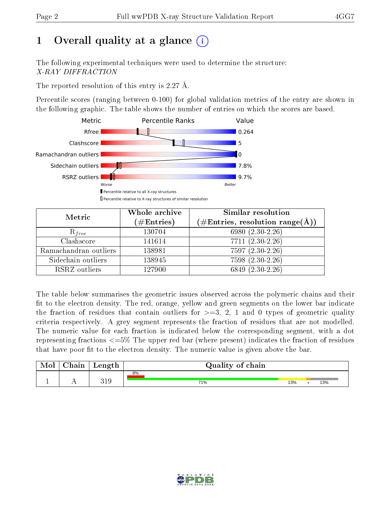# 1 [O](https://www.wwpdb.org/validation/2017/XrayValidationReportHelp#overall_quality)verall quality at a glance  $(i)$

The following experimental techniques were used to determine the structure: X-RAY DIFFRACTION

The reported resolution of this entry is 2.27 Å.

Percentile scores (ranging between 0-100) for global validation metrics of the entry are shown in the following graphic. The table shows the number of entries on which the scores are based.



| Metric                | Whole archive<br>$(\#\mathrm{Entries})$ | Similar resolution<br>$(\#\text{Entries},\,\text{resolution}\,\,\text{range}(\textup{\AA}))$ |  |  |
|-----------------------|-----------------------------------------|----------------------------------------------------------------------------------------------|--|--|
| $R_{free}$            | 130704                                  | 6980 (2.30-2.26)                                                                             |  |  |
| Clashscore            | 141614                                  | $7711 (2.30 - 2.26)$                                                                         |  |  |
| Ramachandran outliers | 138981                                  | $7597(2.30-2.26)$                                                                            |  |  |
| Sidechain outliers    | 138945                                  | 7598 (2.30-2.26)                                                                             |  |  |
| RSRZ outliers         | 127900                                  | $6849(2.30-2.26)$                                                                            |  |  |

The table below summarises the geometric issues observed across the polymeric chains and their fit to the electron density. The red, orange, yellow and green segments on the lower bar indicate the fraction of residues that contain outliers for  $>=3, 2, 1$  and 0 types of geometric quality criteria respectively. A grey segment represents the fraction of residues that are not modelled. The numeric value for each fraction is indicated below the corresponding segment, with a dot representing fractions <=5% The upper red bar (where present) indicates the fraction of residues that have poor fit to the electron density. The numeric value is given above the bar.

| Mol           | $\gamma$ hain | Length        | Quality of chain |     |  |     |  |  |  |
|---------------|---------------|---------------|------------------|-----|--|-----|--|--|--|
|               |               |               | 8%               |     |  |     |  |  |  |
| <u>. на п</u> | <u>. .</u>    | 91 O<br>تللاك | 71%              | 13% |  | 13% |  |  |  |

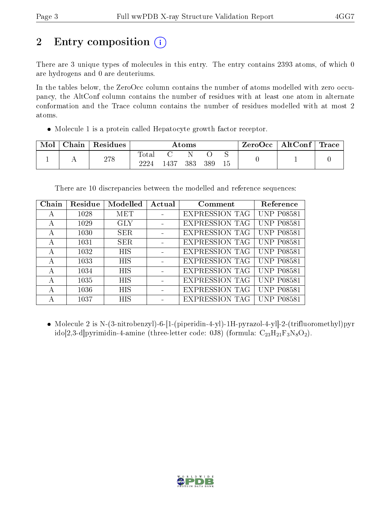# 2 Entry composition  $\left( \cdot \right)$

There are 3 unique types of molecules in this entry. The entry contains 2393 atoms, of which 0 are hydrogens and 0 are deuteriums.

In the tables below, the ZeroOcc column contains the number of atoms modelled with zero occupancy, the AltConf column contains the number of residues with at least one atom in alternate conformation and the Trace column contains the number of residues modelled with at most 2 atoms.

Molecule 1 is a protein called Hepatocyte growth factor receptor.

| Mol | Chain   Residues | Atoms               |      |     |     | $ZeroOcc \mid AltConf \mid$ | Trace |  |
|-----|------------------|---------------------|------|-----|-----|-----------------------------|-------|--|
|     | 278              | $\rm Total$<br>9994 | 1437 | 383 | 389 |                             |       |  |

There are 10 discrepancies between the modelled and reference sequences:

| Chain | Residue | Modelled   | Actual | Comment               | Reference         |
|-------|---------|------------|--------|-----------------------|-------------------|
| А     | 1028    | MET        |        | <b>EXPRESSION TAG</b> | <b>UNP P08581</b> |
| А     | 1029    | <b>GLY</b> |        | <b>EXPRESSION TAG</b> | <b>UNP P08581</b> |
| А     | 1030    | <b>SER</b> |        | <b>EXPRESSION TAG</b> | <b>UNP P08581</b> |
| A     | 1031    | <b>SER</b> |        | <b>EXPRESSION TAG</b> | <b>UNP P08581</b> |
| А     | 1032    | <b>HIS</b> |        | <b>EXPRESSION TAG</b> | <b>UNP P08581</b> |
| A     | 1033    | <b>HIS</b> |        | <b>EXPRESSION TAG</b> | <b>UNP P08581</b> |
| А     | 1034    | <b>HIS</b> |        | <b>EXPRESSION TAG</b> | <b>UNP P08581</b> |
| А     | 1035    | <b>HIS</b> |        | <b>EXPRESSION TAG</b> | <b>UNP P08581</b> |
| А     | 1036    | <b>HIS</b> |        | <b>EXPRESSION TAG</b> | <b>UNP P08581</b> |
| А     | 1037    | <b>HIS</b> |        | <b>EXPRESSION TAG</b> | <b>UNP P08581</b> |

 Molecule 2 is N-(3-nitrobenzyl)-6-[1-(piperidin-4-yl)-1H-pyrazol-4-yl]-2-(trifluoromethyl)pyr ido[2,3-d]pyrimidin-4-amine (three-letter code: 0J8) (formula:  $C_{23}H_{21}F_3N_8O_2$ ).

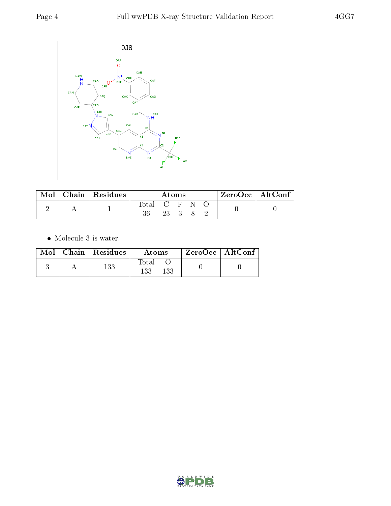

| Mol | Chain   Residues | Atoms         |      |  | $\mathsf{ZeroOcc} \mid \mathsf{AltConf} \mid$ |  |  |
|-----|------------------|---------------|------|--|-----------------------------------------------|--|--|
|     |                  | Total C F N O |      |  |                                               |  |  |
|     |                  |               | 23 3 |  |                                               |  |  |

 $\bullet\,$  Molecule 3 is water.

|  | $\text{Mol}$   Chain   Residues | Atoms               | ZeroOcc   AltConf |  |
|--|---------------------------------|---------------------|-------------------|--|
|  | 133                             | Total<br>133<br>133 |                   |  |

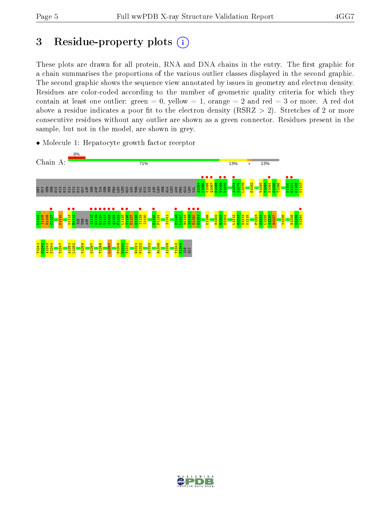# 3 Residue-property plots  $(i)$

These plots are drawn for all protein, RNA and DNA chains in the entry. The first graphic for a chain summarises the proportions of the various outlier classes displayed in the second graphic. The second graphic shows the sequence view annotated by issues in geometry and electron density. Residues are color-coded according to the number of geometric quality criteria for which they contain at least one outlier: green  $= 0$ , yellow  $= 1$ , orange  $= 2$  and red  $= 3$  or more. A red dot above a residue indicates a poor fit to the electron density (RSRZ  $> 2$ ). Stretches of 2 or more consecutive residues without any outlier are shown as a green connector. Residues present in the sample, but not in the model, are shown in grey.

• Molecule 1: Hepatocyte growth factor receptor



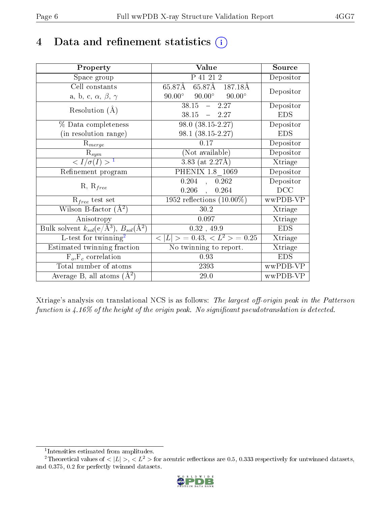## 4 Data and refinement statistics  $(i)$

| Property                                                                | Value                                            | Source     |
|-------------------------------------------------------------------------|--------------------------------------------------|------------|
| Space group                                                             | P 41 21 2                                        | Depositor  |
| Cell constants                                                          | 65.87Å 65.87Å 187.18Å                            | Depositor  |
| a, b, c, $\alpha$ , $\beta$ , $\gamma$                                  | $90.00^{\circ}$ $90.00^{\circ}$<br>$90.00^\circ$ |            |
| Resolution $(A)$                                                        | $-2.27$<br>38.15                                 | Depositor  |
|                                                                         | $38.15 - 2.27$                                   | <b>EDS</b> |
| $\%$ Data completeness                                                  | $98.0 (38.15 - 2.27)$                            | Depositor  |
| (in resolution range)                                                   | $98.1 (38.15 - 2.27)$                            | <b>EDS</b> |
| $\mathrm{R}_{merge}$                                                    | 0.17                                             | Depositor  |
| $\mathrm{R}_{sym}$                                                      | (Not available)                                  | Depositor  |
| $\langle I/\sigma(I) \rangle^{-1}$                                      | $3.83$ (at 2.27Å)                                | Xtriage    |
| Refinement program                                                      | PHENIX 1.8 1069                                  | Depositor  |
| $R, R_{free}$                                                           | 0.204<br>, 0.262                                 | Depositor  |
|                                                                         | $0.206$ ,<br>0.264                               | DCC        |
| $\mathcal{R}_{free}$ test set                                           | 1952 reflections $(10.00\%)$                     | wwPDB-VP   |
| Wilson B-factor $(A^2)$                                                 | 30.2                                             | Xtriage    |
| Anisotropy                                                              | 0.097                                            | Xtriage    |
| Bulk solvent $k_{sol}(\mathrm{e}/\mathrm{A}^3),\,B_{sol}(\mathrm{A}^2)$ | 0.32, 49.9                                       | <b>EDS</b> |
| L-test for $\overline{\text{twinning}}^2$                               | $< L >$ = 0.43, $< L^2 >$ = 0.25                 | Xtriage    |
| Estimated twinning fraction                                             | No twinning to report.                           | Xtriage    |
| $\overline{F_o, F_c}$ correlation                                       | $0.93\,$                                         | <b>EDS</b> |
| Total number of atoms                                                   | 2393                                             | wwPDB-VP   |
| Average B, all atoms $(A^2)$                                            | 29.0                                             | wwPDB-VP   |

Xtriage's analysis on translational NCS is as follows: The largest off-origin peak in the Patterson function is  $4.16\%$  of the height of the origin peak. No significant pseudotranslation is detected.

<sup>&</sup>lt;sup>2</sup>Theoretical values of  $\langle |L| \rangle$ ,  $\langle L^2 \rangle$  for acentric reflections are 0.5, 0.333 respectively for untwinned datasets, and 0.375, 0.2 for perfectly twinned datasets.



<span id="page-5-1"></span><span id="page-5-0"></span><sup>1</sup> Intensities estimated from amplitudes.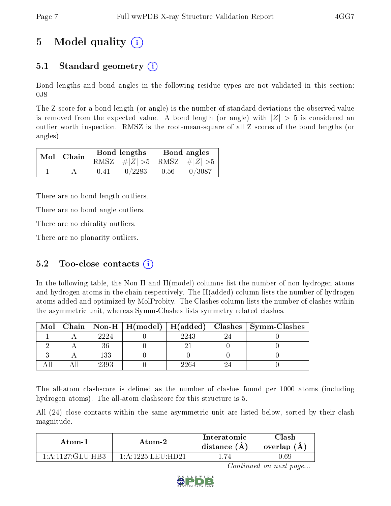# 5 Model quality  $(i)$

### 5.1 Standard geometry  $\overline{()}$

Bond lengths and bond angles in the following residue types are not validated in this section: 0J8

The Z score for a bond length (or angle) is the number of standard deviations the observed value is removed from the expected value. A bond length (or angle) with  $|Z| > 5$  is considered an outlier worth inspection. RMSZ is the root-mean-square of all Z scores of the bond lengths (or angles).

| $Mol$   Chain |      | Bond lengths                    | Bond angles |           |  |
|---------------|------|---------------------------------|-------------|-----------|--|
|               |      | RMSZ $ #Z  > 5$ RMSZ $ #Z  > 5$ |             |           |  |
|               | 0.41 | 0/2283                          | 0.56        | $-0/3087$ |  |

There are no bond length outliers.

There are no bond angle outliers.

There are no chirality outliers.

There are no planarity outliers.

### 5.2 Too-close contacts  $(i)$

In the following table, the Non-H and H(model) columns list the number of non-hydrogen atoms and hydrogen atoms in the chain respectively. The H(added) column lists the number of hydrogen atoms added and optimized by MolProbity. The Clashes column lists the number of clashes within the asymmetric unit, whereas Symm-Clashes lists symmetry related clashes.

| Mol |      |      | Chain   Non-H   H(model)   H(added)   Clashes   Symm-Clashes |
|-----|------|------|--------------------------------------------------------------|
|     | 2224 | 2243 |                                                              |
|     |      |      |                                                              |
|     | 133  |      |                                                              |
|     | 2393 | ാദ⊿_ |                                                              |

The all-atom clashscore is defined as the number of clashes found per 1000 atoms (including hydrogen atoms). The all-atom clashscore for this structure is 5.

All (24) close contacts within the same asymmetric unit are listed below, sorted by their clash magnitude.

| Atom-1                                      | Atom-2             | Interatomic<br>distance $(A)$ | $\gamma$ lash<br>overlap (A) |
|---------------------------------------------|--------------------|-------------------------------|------------------------------|
| $1 \cdot A \cdot 1127 \cdot C1 \cdot H$ HR? | 1 A 1225 LEII HD21 |                               | 1.69                         |

Continued on next page...

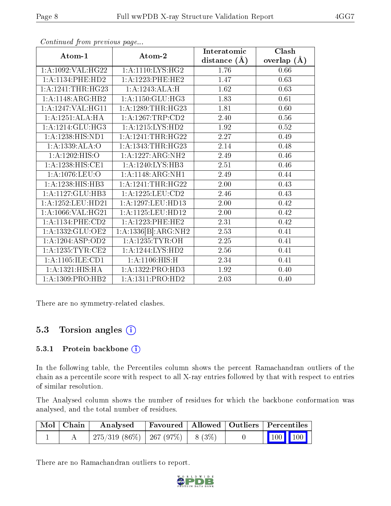| Atom-1                  | Atom-2                  | Interatomic    | Clash         |
|-------------------------|-------------------------|----------------|---------------|
|                         |                         | distance $(A)$ | overlap $(A)$ |
| 1:A:1092:VAL:HG22       | 1: A:1110: LYS: HG2     | 1.76           | 0.66          |
| 1: A:1134: PHE:HD2      | 1: A: 1223: PHE: HE2    | 1.47           | 0.63          |
| $1: A: 1241: THR: HG23$ | 1:A:1243:ALA:H          | 1.62           | 0.63          |
| 1:A:1148:ARG:HB2        | 1:A:1150:GLU:HG3        | 1.83           | 0.61          |
| 1:A:1247:VAL:HG11       | 1: A: 1289: THR: HG23   | 1.81           | 0.60          |
| 1:A:1251:ALA:HA         | 1: A: 1267: TRP: CD2    | 2.40           | 0.56          |
| 1:A:1214:GLU:HG3        | 1: A:1215:LYS:HD2       | 1.92           | 0.52          |
| 1: A: 1238: HIS: ND1    | $1: A: 1241: THR: HG22$ | 2.27           | 0.49          |
| 1:A:1339:ALA:O          | 1: A: 1343: THR: HG23   | 2.14           | 0.48          |
| 1: A: 1202: HIS: O      | 1:A:1227:ARG:NH2        | 2.49           | 0.46          |
| 1:A:1238:HIS:CE1        | 1:A:1240:LYS:HB3        | 2.51           | 0.46          |
| 1:A:1076:LEU:O          | 1:A:1148:ARG:NH1        | 2.49           | 0.44          |
| 1: A: 1238: HIS: HB3    | 1: A: 1241: THE:HG22    | 2.00           | 0.43          |
| 1:A:1127:GLU:HB3        | 1:A:1225:LEU:CD2        | 2.46           | 0.43          |
| 1:A:1252:LEU:HD21       | 1: A: 1297: LEU: HD13   | $2.00\,$       | 0.42          |
| 1:A:1066:VAL:HG21       | 1: A: 1125: LEU: HD12   | 2.00           | 0.42          |
| 1: A:1134: PHE:CD2      | 1:A:1223:PHE:HE2        | 2.31           | 0.42          |
| 1:A:1332:GLU:OE2        | 1:A:1336[B]:ARG:NH2     | 2.53           | 0.41          |
| 1:A:1204:ASP:OD2        | 1: A: 1235: TYR: OH     | 2.25           | 0.41          |
| 1: A: 1235: TYR: CE2    | 1:A:1244:LYS:HD2        | 2.56           | 0.41          |
| 1: A: 1105: ILE: CD1    | 1:A:1106:HIS:H          | 2.34           | 0.41          |
| 1:A:1321:HIS:HA         | 1:A:1322:PRO:HD3        | 1.92           | 0.40          |
| 1: A: 1309: PRO: HB2    | 1: A: 1311: PRO: HD2    | 2.03           | 0.40          |

Continued from previous page...

There are no symmetry-related clashes.

### 5.3 Torsion angles  $(i)$

#### 5.3.1 Protein backbone (i)

In the following table, the Percentiles column shows the percent Ramachandran outliers of the chain as a percentile score with respect to all X-ray entries followed by that with respect to entries of similar resolution.

The Analysed column shows the number of residues for which the backbone conformation was analysed, and the total number of residues.

| Mol   Chain | Analysed                               |  | Favoured   Allowed   Outliers   Percentiles |
|-------------|----------------------------------------|--|---------------------------------------------|
|             | $1275/319(86\%)$   267 (97\%)   8(3\%) |  | $\vert$ 100 100 $\vert$                     |

There are no Ramachandran outliers to report.

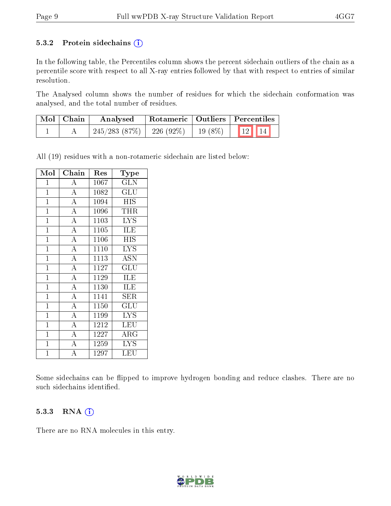#### 5.3.2 Protein sidechains  $(i)$

In the following table, the Percentiles column shows the percent sidechain outliers of the chain as a percentile score with respect to all X-ray entries followed by that with respect to entries of similar resolution.

The Analysed column shows the number of residues for which the sidechain conformation was analysed, and the total number of residues.

| Mol   Chain | Analysed                                             | Rotameric   Outliers   Percentiles |  |  |
|-------------|------------------------------------------------------|------------------------------------|--|--|
|             | $\mid$ 245/283 (87%)   226 (92%)   19 (8%)   12   14 |                                    |  |  |

All (19) residues with a non-rotameric sidechain are listed below:

| Mol            | Chain              | Res  | $_{\rm Type}$ |
|----------------|--------------------|------|---------------|
| 1              | А                  | 1067 | GLN           |
| $\mathbf{1}$   | $\overline{\rm A}$ | 1082 | GLU           |
| $\mathbf{1}$   | $\overline{\rm A}$ | 1094 | <b>HIS</b>    |
| $\mathbf{1}$   | A                  | 1096 | <b>THR</b>    |
| $\mathbf{1}$   | $\overline{\rm A}$ | 1103 | LYS           |
| $\mathbf{1}$   | $\overline{A}$     | 1105 | <b>ILE</b>    |
| $\mathbf{1}$   | $\overline{A}$     | 1106 | HIS           |
| $\mathbf{1}$   | $\overline{A}$     | 1110 | <b>LYS</b>    |
| $\mathbf{1}$   | $\overline{A}$     | 1113 | <b>ASN</b>    |
| $\mathbf{1}$   | $\overline{\rm A}$ | 1127 | GLU           |
| $\mathbf{1}$   | $\overline{\rm A}$ | 1129 | ILE           |
| $\mathbf{1}$   | $\overline{\rm A}$ | 1130 | <b>ILE</b>    |
| $\mathbf{1}$   | $\overline{A}$     | 1141 | SER           |
| $\mathbf{1}$   | $\overline{\rm A}$ | 1150 | GLU           |
| $\mathbf{1}$   | $\overline{A}$     | 1199 | <b>LYS</b>    |
| $\mathbf{1}$   | $\overline{\rm A}$ | 1212 | LEU           |
| $\mathbf{1}$   | $\overline{A}$     | 1227 | ${\rm ARG}$   |
| $\mathbf{1}$   | $\overline{\rm A}$ | 1259 | <b>LYS</b>    |
| $\overline{1}$ | A                  | 1297 | LEU           |

Some sidechains can be flipped to improve hydrogen bonding and reduce clashes. There are no such sidechains identified.

#### 5.3.3 RNA (i)

There are no RNA molecules in this entry.

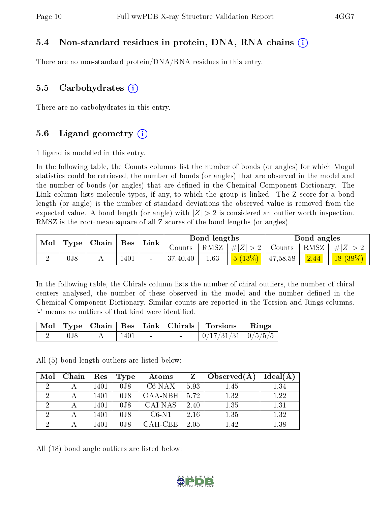#### 5.4 Non-standard residues in protein, DNA, RNA chains (i)

There are no non-standard protein/DNA/RNA residues in this entry.

#### 5.5 Carbohydrates  $(i)$

There are no carbohydrates in this entry.

#### 5.6 Ligand geometry  $(i)$

1 ligand is modelled in this entry.

In the following table, the Counts columns list the number of bonds (or angles) for which Mogul statistics could be retrieved, the number of bonds (or angles) that are observed in the model and the number of bonds (or angles) that are dened in the Chemical Component Dictionary. The Link column lists molecule types, if any, to which the group is linked. The Z score for a bond length (or angle) is the number of standard deviations the observed value is removed from the expected value. A bond length (or angle) with  $|Z| > 2$  is considered an outlier worth inspection. RMSZ is the root-mean-square of all Z scores of the bond lengths (or angles).

| Mol<br>Type |                  | Chain |      |                          |          |      |                            | Res      | Link |            | <b>Bond lengths</b> |  |  | Bond angles |  |
|-------------|------------------|-------|------|--------------------------|----------|------|----------------------------|----------|------|------------|---------------------|--|--|-------------|--|
|             |                  |       |      |                          | Counts   | RMSZ | $\ E\ $                    | Counts   | RMSZ | H Z        |                     |  |  |             |  |
| ↵           | $0\,\mathrm{J}8$ |       | 1401 | $\overline{\phantom{a}}$ | 37,40,40 | 1.63 | $(13\%)$<br>5 <sup>1</sup> | 47,58,58 | 2.44 | $18(38\%)$ |                     |  |  |             |  |

In the following table, the Chirals column lists the number of chiral outliers, the number of chiral centers analysed, the number of these observed in the model and the number defined in the Chemical Component Dictionary. Similar counts are reported in the Torsion and Rings columns. '-' means no outliers of that kind were identified.

|  |      |                          | Mol   Type   Chain   Res   Link   Chirals   Torsions   Rings |  |
|--|------|--------------------------|--------------------------------------------------------------|--|
|  | 1401 | <b>Contract Contract</b> | $\mid 0/17/31/31 \mid 0/5/5/5 \mid$                          |  |

All (5) bond length outliers are listed below:

| Mol            | Chain | Res  | Type             | Atoms    |      | Observed $(A)$ | Ideal(A) |
|----------------|-------|------|------------------|----------|------|----------------|----------|
| $\overline{2}$ |       | 1401 | 0 <sub>J</sub> 8 | $C6-NAX$ | 5.93 | 1.45           | $1.34\,$ |
|                |       | 1401 | 0 <sub>J</sub> 8 | OAA-NBH  | 5.72 | 1.32           | 1.22     |
| 2              |       | 1401 | 0.18             | CAI-NAS  | 2.40 | 1.35           | 1.31     |
|                |       | 1401 | 0.18             | $C6-N1$  | 2.16 | 1.35           | 1.32     |
| 2              |       | 1401 | 0 <sub>J</sub> 8 | CAH-CBB  | 2.05 | 1.42           | 1.38     |

All (18) bond angle outliers are listed below:

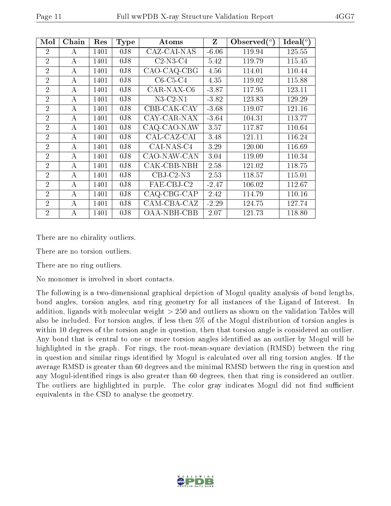| Mol            | Chain | Res  | <b>Type</b>      | Atoms       | Z       | Observed $(^\circ)$ | Ideal $(^\circ)$ |
|----------------|-------|------|------------------|-------------|---------|---------------------|------------------|
| $\overline{2}$ | А     | 1401 | 0 <sub>0</sub>   | CAZ-CAI-NAS | $-6.06$ | 119.94              | 125.55           |
| $\overline{2}$ | A     | 1401 | 0 <sub>J</sub> 8 | $C2-N3-C4$  | 5.42    | 119.79              | 115.45           |
| $\overline{2}$ | A     | 1401 | 0 <sub>J</sub> 8 | CAO-CAQ-CBG | 4.56    | 114.01              | 110.44           |
| $\overline{2}$ | А     | 1401 | 0J8              | $C6-C5-C4$  | 4.35    | 119.02              | 115.88           |
| $\overline{2}$ | А     | 1401 | 0J8              | CAR-NAX-C6  | $-3.87$ | 117.95              | 123.11           |
| $\overline{2}$ | A     | 1401 | 0 <sub>J</sub> 8 | $N3-C2-N1$  | $-3.82$ | 123.83              | 129.29           |
| $\overline{2}$ | A     | 1401 | 0 <sub>J</sub> 8 | CBB-CAK-CAY | $-3.68$ | 119.07              | 121.16           |
| $\overline{2}$ | A     | 1401 | 0 <sub>J</sub> 8 | CAY-CAR-NAX | $-3.64$ | 104.31              | 113.77           |
| $\overline{2}$ | А     | 1401 | 0 <sub>J</sub> 8 | CAQ-CAO-NAW | 3.57    | 117.87              | 110.64           |
| $\overline{2}$ | А     | 1401 | 0 <sub>J</sub> 8 | CAL-CAZ-CAI | 3.48    | 121.11              | 116.24           |
| $\overline{2}$ | А     | 1401 | 0 <sub>J</sub> 8 | CAI-NAS-C4  | 3.29    | 120.00              | 116.69           |
| $\overline{2}$ | A     | 1401 | 0 <sub>J</sub> 8 | CAO-NAW-CAN | 3.04    | 119.09              | 110.34           |
| $\overline{2}$ | A     | 1401 | 0 <sub>J</sub> 8 | CAK-CBB-NBH | 2.58    | 121.02              | 118.75           |
| $\overline{2}$ | А     | 1401 | 0 <sub>J</sub> 8 | $CBJ-C2-N3$ | 2.53    | 118.57              | 115.01           |
| $\overline{2}$ | А     | 1401 | 0 <sub>J</sub> 8 | FAE-CBJ-C2  | $-2.47$ | 106.02              | 112.67           |
| $\overline{2}$ | А     | 1401 | 0 <sub>J</sub> 8 | CAQ-CBG-CAP | 2.42    | 114.79              | 110.16           |
| $\overline{2}$ | А     | 1401 | 0 <sub>J</sub> 8 | CAM-CBA-CAZ | $-2.29$ | 124.75              | 127.74           |
| $\overline{2}$ | А     | 1401 | 0 <sub>J</sub> 8 | OAA-NBH-CBB | 2.07    | 121.73              | 118.80           |

There are no chirality outliers.

There are no torsion outliers.

There are no ring outliers.

No monomer is involved in short contacts.

The following is a two-dimensional graphical depiction of Mogul quality analysis of bond lengths, bond angles, torsion angles, and ring geometry for all instances of the Ligand of Interest. In addition, ligands with molecular weight > 250 and outliers as shown on the validation Tables will also be included. For torsion angles, if less then 5% of the Mogul distribution of torsion angles is within 10 degrees of the torsion angle in question, then that torsion angle is considered an outlier. Any bond that is central to one or more torsion angles identified as an outlier by Mogul will be highlighted in the graph. For rings, the root-mean-square deviation (RMSD) between the ring in question and similar rings identified by Mogul is calculated over all ring torsion angles. If the average RMSD is greater than 60 degrees and the minimal RMSD between the ring in question and any Mogul-identified rings is also greater than 60 degrees, then that ring is considered an outlier. The outliers are highlighted in purple. The color gray indicates Mogul did not find sufficient equivalents in the CSD to analyse the geometry.

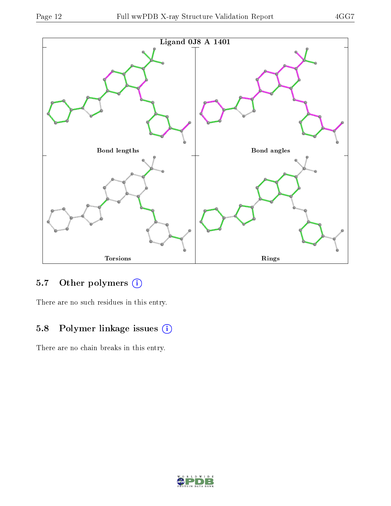

### 5.7 [O](https://www.wwpdb.org/validation/2017/XrayValidationReportHelp#nonstandard_residues_and_ligands)ther polymers (i)

There are no such residues in this entry.

## 5.8 Polymer linkage issues (i)

There are no chain breaks in this entry.

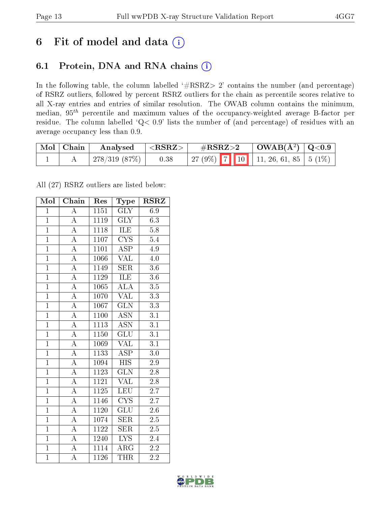## 6 Fit of model and data  $(i)$

### 6.1 Protein, DNA and RNA chains  $(i)$

In the following table, the column labelled  $#RSRZ> 2'$  contains the number (and percentage) of RSRZ outliers, followed by percent RSRZ outliers for the chain as percentile scores relative to all X-ray entries and entries of similar resolution. The OWAB column contains the minimum, median,  $95<sup>th</sup>$  percentile and maximum values of the occupancy-weighted average B-factor per residue. The column labelled ' $Q< 0.9$ ' lists the number of (and percentage) of residues with an average occupancy less than 0.9.

| $\mid$ Mol $\mid$ Chain $\mid$ | $\rm{Analysed}$ $ \langle \rm{RSRZ}\rangle $ |      | $\rm \#RSRZ{>}2$                           | $\vert$ OWAB( $\rm{\AA}^2$ ) $\vert$ Q<0.9 |  |
|--------------------------------|----------------------------------------------|------|--------------------------------------------|--------------------------------------------|--|
|                                | 278/319 (87%)                                | 0.38 | 27 (9%)   7   10   11, 26, 61, 85   5 (1%) |                                            |  |

All (27) RSRZ outliers are listed below:

| Mol            | Chain              | Res               | $_{\rm Type}$             | <b>RSRZ</b>      |
|----------------|--------------------|-------------------|---------------------------|------------------|
| $\overline{1}$ | $\overline{\rm A}$ | 1151              | <b>GLY</b>                | 6.9              |
| $\overline{1}$ | $\overline{\rm A}$ | 1119              | $\overline{\text{GLY}}$   | $6.\overline{3}$ |
| $\overline{1}$ | $\overline{A}$     | 1118              | <b>ILE</b>                | $5.8\,$          |
| $\overline{1}$ | $\overline{A}$     | 1107              | $\overline{\text{CYS}}$   | 5.4              |
| $\overline{1}$ | $\overline{\rm A}$ | 1101              | $\overline{\text{ASP}}$   | 4.9              |
| $\mathbf{1}$   | $\overline{\rm A}$ | 1066              | VAL                       | 4.0              |
| $\overline{1}$ | $\overline{\rm A}$ | 1149              | <b>SER</b>                | 3.6              |
| $\overline{1}$ | $\overline{\rm A}$ | 1129              | <b>ILE</b>                | $\overline{3.6}$ |
| $\overline{1}$ | $\overline{\rm A}$ | 1065              | $\overline{\text{ALA}}$   | 3.5              |
| $\overline{1}$ | $\overline{\rm A}$ | 1070              | $\overline{\text{VAL}}$   | $\overline{3.3}$ |
| $\overline{1}$ | $\overline{\rm A}$ | 1067              | $\overline{\text{GLN}}$   | $\overline{3.3}$ |
| $\overline{1}$ | $\overline{A}$     | 1100              | $\overline{\mathrm{ASN}}$ | $\overline{3.1}$ |
| $\overline{1}$ | $\overline{A}$     | 1113              | <b>ASN</b>                | 3.1              |
| $\overline{1}$ | $\overline{\rm A}$ | 1150              | $\overline{{\rm GLU}}$    | $\overline{3.1}$ |
| $\overline{1}$ | $\overline{A}$     | 1069              | <b>VAL</b>                | $\overline{3.1}$ |
| $\overline{1}$ | $\overline{\rm A}$ | 1133              | $\overline{\text{ASP}}$   | 3.0              |
| $\overline{1}$ | $\overline{\rm A}$ | $\overline{1094}$ | $\overline{HIS}$          | 2.9              |
| $\overline{1}$ | $\overline{\rm A}$ | 1123              | GLN                       | $2.8\,$          |
| $\overline{1}$ | $\overline{\rm A}$ | 1121              | <b>VAL</b>                | $\overline{2.8}$ |
| $\overline{1}$ | $\overline{\rm A}$ | 1125              | LEU                       | 2.7              |
| $\overline{1}$ | $\overline{\rm A}$ | 1146              | $\overline{\text{CYS}}$   | 2.7              |
| $\overline{1}$ | $\overline{A}$     | 1120              | $\overline{{\rm GLU}}$    | $\overline{2.6}$ |
| $\overline{1}$ | $\overline{\rm A}$ | 1074              | <b>SER</b>                | 2.5              |
| $\overline{1}$ | $\overline{\rm A}$ | 1122              | $\overline{\text{SER}}$   | $\overline{2.5}$ |
| $\overline{1}$ | $\overline{\rm A}$ | 1240              | <b>LYS</b>                | $\overline{2}.4$ |
| $\overline{1}$ | $\overline{\rm A}$ | 1114              | $\rm{ARG}$                | 2.2              |
| $\overline{1}$ | $\overline{\rm A}$ | 1126              | THR                       | $\overline{2.2}$ |

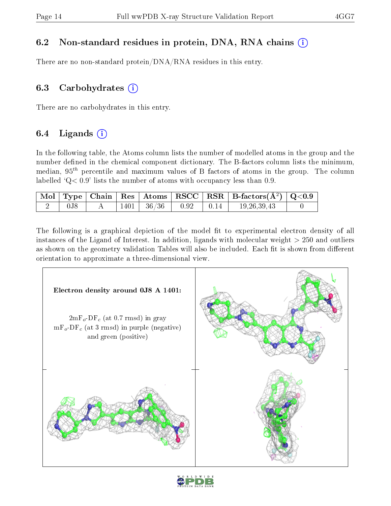### 6.2 Non-standard residues in protein, DNA, RNA chains (i)

There are no non-standard protein/DNA/RNA residues in this entry.

### 6.3 Carbohydrates  $(i)$

There are no carbohydrates in this entry.

### 6.4 Ligands  $(i)$

In the following table, the Atoms column lists the number of modelled atoms in the group and the number defined in the chemical component dictionary. The B-factors column lists the minimum, median,  $95<sup>th</sup>$  percentile and maximum values of B factors of atoms in the group. The column labelled  $Q < 0.9$ ' lists the number of atoms with occupancy less than 0.9.

|                  |  |                  |              |                  | $\mid$ Mol $\mid$ Type $\mid$ Chain $\mid$ Res $\mid$ Atoms $\mid$ RSCC $\mid$ RSR $\mid$ B-factors(A <sup>2</sup> ) $\mid$ Q<0.9 $\mid$ |  |
|------------------|--|------------------|--------------|------------------|------------------------------------------------------------------------------------------------------------------------------------------|--|
| 0 <sub>J</sub> 8 |  | $1401$   $36/36$ | $\vert$ 0.92 | $\parallel$ 0.14 | 19, 26, 39, 43                                                                                                                           |  |

The following is a graphical depiction of the model fit to experimental electron density of all instances of the Ligand of Interest. In addition, ligands with molecular weight  $> 250$  and outliers as shown on the geometry validation Tables will also be included. Each fit is shown from different orientation to approximate a three-dimensional view.